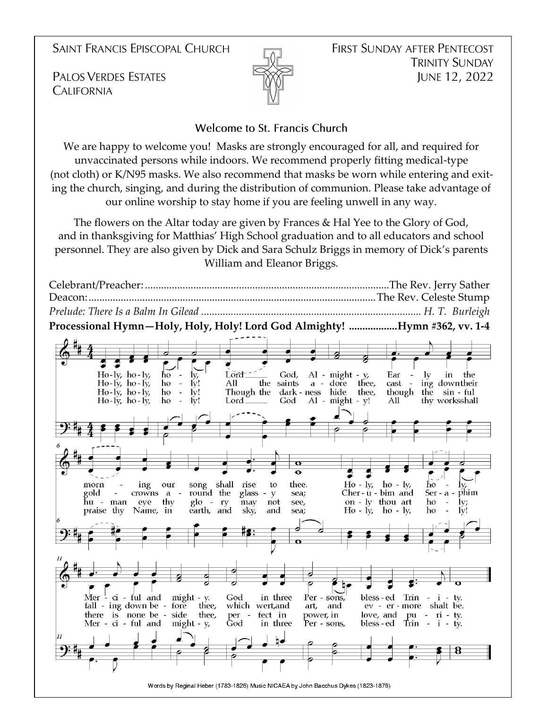**SAINT FRANCIS EPISCOPAL CHURCH** 

**PALOS VERDES ESTATES CALIFORNIA** 



#### Welcome to St. Francis Church

We are happy to welcome you! Masks are strongly encouraged for all, and required for unvaccinated persons while indoors. We recommend properly fitting medical-type (not cloth) or K/N95 masks. We also recommend that masks be worn while entering and exiting the church, singing, and during the distribution of communion. Please take advantage of our online worship to stay home if you are feeling unwell in any way.

The flowers on the Altar today are given by Frances & Hal Yee to the Glory of God, and in thanksgiving for Matthias' High School graduation and to all educators and school personnel. They are also given by Dick and Sara Schulz Briggs in memory of Dick's parents William and Eleanor Briggs.

Celebrant/Preacher: ...........................................................................................The Rev. Jerry Sather Deacon:...........................................................................................................The Rev. Celeste Stump *Prelude: There Is a Balm In Gilead .................................................................................. H. T. Burleigh* **Processional Hymn—Holy, Holy, Holy! Lord God Almighty! ..................Hymn #362, vv. 1-4**Lord<sup>-</sup>  $Ho$ -ly, ho-ly, God,  $Al - might - y$ ĥο ly, Ear  $1v$ in the Ho-ly, ho-ly, ho  $\bar{\mathcal{L}}$  $\tilde{I}v!$ All the saints a - dore thee, cast ing downtheir  $Ho - ly$ , ho - lv, ho  $\overline{\phantom{a}}$  $\mathbf{I} \mathbf{v}$ ! Though the dark - ness hide thee, though the sin - ful  $\mathbb{L}$ thy worksshall  $Ho-Iy$ , ho- $Iy$ , ho  $\mathbf{I} \mathbf{v}!$ All Lord. God  $Al - might - y!$ ing song shall  $Ho - IV.$ morn our rise to thee.  $ho - k$ ĥο gold round the Ser - a - phim crowns a glass -  $y$ sea;  $Cher - u - bim$  and hu - man eye thy  $g$ lo - ry not see, on - ly thou art ho may  $\mathbf{I} \mathbf{v}$ praise thy Name, in earth, and sky, and sea;  $Ho - Iv$  $ho - ly$ ho Mer  $\frac{1}{2}$  ci - ful and might - y. God in three Per - sons, bless - ed  $\text{Trin}$  - i - tv. fall - ing down be - fore which wert,and ev - er - more shalt be. thee, art, and there is none be - side<br>Mer - ci - ful and might  $\begin{tabular}{ccc} pu & - & ri & -ty. \\ Trin & - & i & -ty. \end{tabular}$ thee, per fect in power, in love, and  $\sim$   $^{-1}$  $might - y$ God in three Per - sons, bless - ed Words by Reginal Heber (1783-1826) Music NICAEA by John Bacchus Dykes (1823-1876)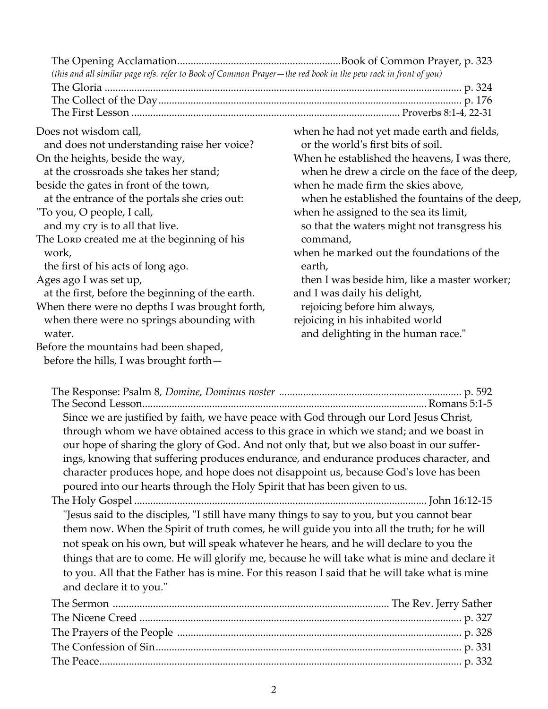| (this and all similar page refs. refer to Book of Common Prayer-the red book in the pew rack in front of you) |                                                |
|---------------------------------------------------------------------------------------------------------------|------------------------------------------------|
|                                                                                                               |                                                |
|                                                                                                               |                                                |
|                                                                                                               |                                                |
| Does not wisdom call,                                                                                         | when he had not yet made earth and fields,     |
| and does not understanding raise her voice?                                                                   | or the world's first bits of soil.             |
| On the heights, beside the way,                                                                               | When he established the heavens, I was there,  |
| at the crossroads she takes her stand;                                                                        | when he drew a circle on the face of the deep, |
| beside the gates in front of the town,                                                                        | when he made firm the skies above,             |
| at the entrance of the portals she cries out:                                                                 | when he established the fountains of the deep, |
| "To you, O people, I call,                                                                                    | when he assigned to the sea its limit,         |
| and my cry is to all that live.                                                                               | so that the waters might not transgress his    |
| The Lorp created me at the beginning of his                                                                   | command,                                       |
| work,                                                                                                         | when he marked out the foundations of the      |
| the first of his acts of long ago.                                                                            | earth,                                         |
| Ages ago I was set up,                                                                                        | then I was beside him, like a master worker;   |
| at the first, before the beginning of the earth.                                                              | and I was daily his delight,                   |
| When there were no depths I was brought forth,                                                                | rejoicing before him always,                   |
| when there were no springs abounding with                                                                     | rejoicing in his inhabited world               |
| water.                                                                                                        | and delighting in the human race."             |
| Before the mountains had been shaped,                                                                         |                                                |
| before the hills, I was brought forth-                                                                        |                                                |

| Since we are justified by faith, we have peace with God through our Lord Jesus Christ,         |
|------------------------------------------------------------------------------------------------|
| through whom we have obtained access to this grace in which we stand; and we boast in          |
| our hope of sharing the glory of God. And not only that, but we also boast in our suffer-      |
| ings, knowing that suffering produces endurance, and endurance produces character, and         |
| character produces hope, and hope does not disappoint us, because God's love has been          |
| poured into our hearts through the Holy Spirit that has been given to us.                      |
|                                                                                                |
| "Jesus said to the disciples, "I still have many things to say to you, but you cannot bear     |
| them now. When the Spirit of truth comes, he will guide you into all the truth; for he will    |
| not speak on his own, but will speak whatever he hears, and he will declare to you the         |
| things that are to come. He will glorify me, because he will take what is mine and declare it  |
| to you. All that the Father has is mine. For this reason I said that he will take what is mine |
| and declare it to you."                                                                        |
|                                                                                                |
|                                                                                                |
|                                                                                                |
|                                                                                                |

The Peace....................................................................................................................................... p. 332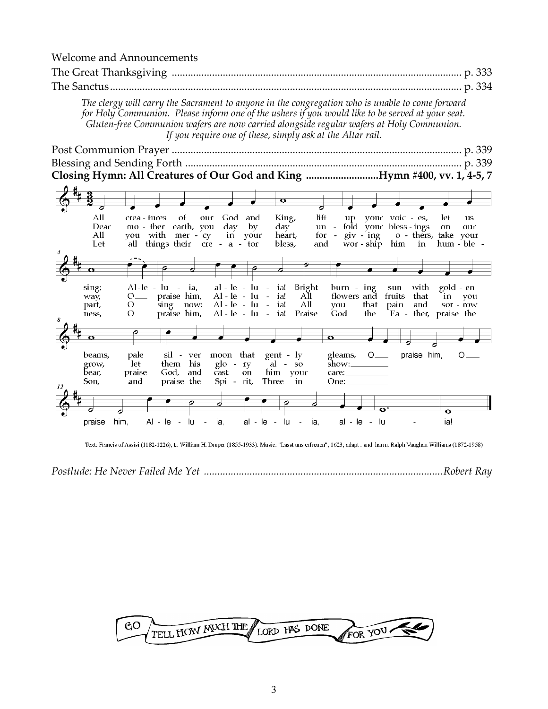Welcome and Announcements

| The Great Thanksgiving<br>. p. 333                                                                                                                                                                                                                                                                                                                            |
|---------------------------------------------------------------------------------------------------------------------------------------------------------------------------------------------------------------------------------------------------------------------------------------------------------------------------------------------------------------|
| The Sanctus<br>p. 334                                                                                                                                                                                                                                                                                                                                         |
| The clergy will carry the Sacrament to anyone in the congregation who is unable to come forward<br>for Holy Communion. Please inform one of the ushers if you would like to be served at your seat.<br>Gluten-free Communion wafers are now carried alongside regular wafers at Holy Communion.<br>If you require one of these, simply ask at the Altar rail. |
|                                                                                                                                                                                                                                                                                                                                                               |
| Closing Hymn: All Creatures of Our God and King Hymn #400, vv. 1, 4-5, 7                                                                                                                                                                                                                                                                                      |
|                                                                                                                                                                                                                                                                                                                                                               |
| $\mathbf o$                                                                                                                                                                                                                                                                                                                                                   |
| lift<br>All<br>God and<br>up your voic - es,<br>let<br>crea - tures<br>ot<br>our<br>King,<br><b>us</b><br>Dear<br>mo - ther earth, you<br>day<br>fold your bless - ings<br>$\rm{dav}$<br>by<br>$un -$<br>on                                                                                                                                                   |
| our<br>you with mer - cy<br>$\pi$ $\sin$<br>o - thers, take your<br>All<br>heart,<br>for<br>in vour                                                                                                                                                                                                                                                           |
| all things their cre - a - tor<br>Let<br>bless,<br>and<br>wor-ship him in hum-ble-                                                                                                                                                                                                                                                                            |
|                                                                                                                                                                                                                                                                                                                                                               |
|                                                                                                                                                                                                                                                                                                                                                               |
| sing;<br>$al - le - lu - ia!$<br>Bright<br>Al-le - lu - ia,<br>$burn - ing$<br>with<br>gold - en<br>sun<br>praise him,<br>$Al - le - lu -$<br>flowers and fruits that<br>ia!<br>All<br>$O_{\text{max}}$<br>in<br>way,<br>vou                                                                                                                                  |
| All<br>$Al - le - lu - ia!$<br>sing now:<br>that pain<br>and<br>you<br>sor - row<br>$0$ <sub>—</sub><br>part,<br>praise him,<br>$Al - le - lu - ia!$<br>the<br>Fa - ther, praise the<br>Praise<br>God<br>$O_{\text{max}}$<br>ness,                                                                                                                            |
|                                                                                                                                                                                                                                                                                                                                                               |
| $\Omega$                                                                                                                                                                                                                                                                                                                                                      |
| moon that<br>praise him,<br>sil - ver<br>gent - ly<br>gleams,<br>$\circ$ $\overline{\phantom{a}}$<br>beams,<br>pale<br>$\circ$ —                                                                                                                                                                                                                              |
| them his<br>let<br>$g$ lo - ry<br>$al - so$<br>grow,<br>God, and<br>bear,<br>praise<br>cast<br>him your<br><b>on</b><br>care:                                                                                                                                                                                                                                 |
| Spi - rit,<br>Three<br>Son,<br>praise the<br>$\mathbf{in}$<br>and<br>One: $\qquad \qquad$<br>12                                                                                                                                                                                                                                                               |
|                                                                                                                                                                                                                                                                                                                                                               |
|                                                                                                                                                                                                                                                                                                                                                               |
| $Al - le - lu - ia$<br>al - le - lu - ia.<br>him.<br>al - le - lu<br>ia!<br>praise                                                                                                                                                                                                                                                                            |

Text: Francis of Assisi (1182-1226), tr. William H. Draper (1855-1933). Music: "Lasst uns erfreuen", 1623; adapt. and harm. Ralph Vaughan Williams (1872-1958)

*Postlude: He Never Failed Me Yet .........................................................................................Robert Ray*